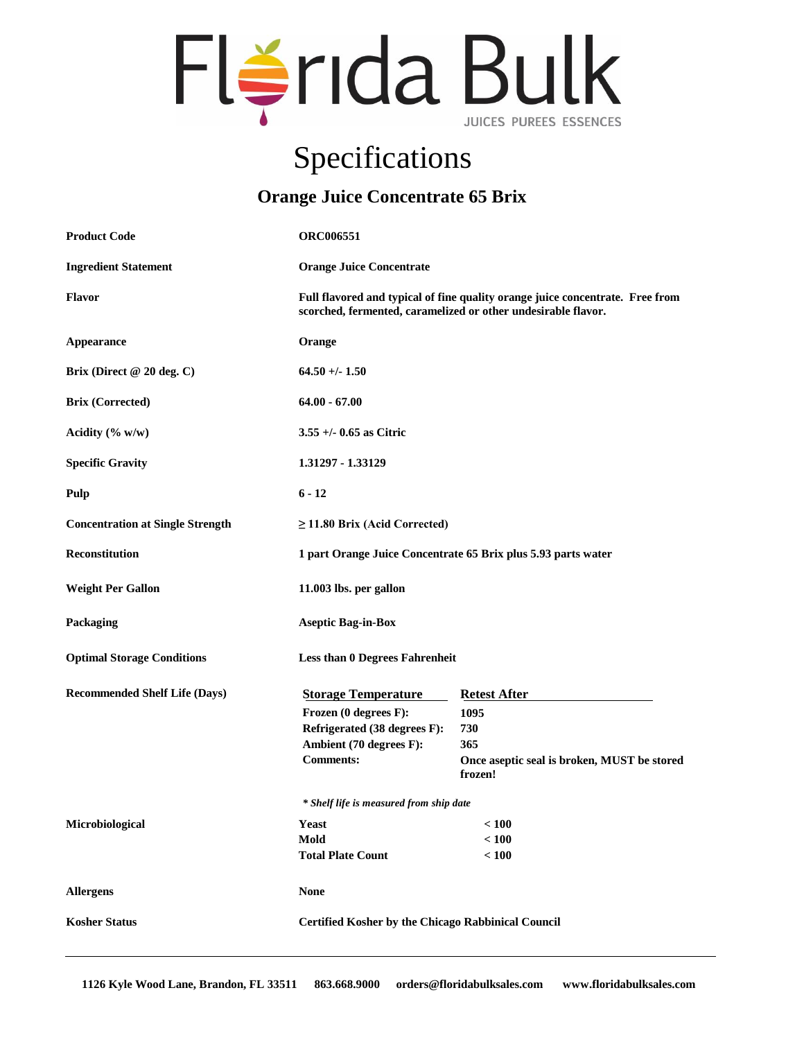

## Specifications

## **Orange Juice Concentrate 65 Brix**

| <b>Product Code</b>                     | <b>ORC006551</b>                                                                                                                               |                                                                                                     |
|-----------------------------------------|------------------------------------------------------------------------------------------------------------------------------------------------|-----------------------------------------------------------------------------------------------------|
| <b>Ingredient Statement</b>             | <b>Orange Juice Concentrate</b>                                                                                                                |                                                                                                     |
| <b>Flavor</b>                           | Full flavored and typical of fine quality orange juice concentrate. Free from<br>scorched, fermented, caramelized or other undesirable flavor. |                                                                                                     |
| Appearance                              | Orange                                                                                                                                         |                                                                                                     |
| Brix (Direct @ 20 deg. C)               | $64.50 + (-1.50)$                                                                                                                              |                                                                                                     |
| <b>Brix (Corrected)</b>                 | $64.00 - 67.00$                                                                                                                                |                                                                                                     |
| Acidity $(\% w/w)$                      | $3.55 + (-0.65$ as Citric                                                                                                                      |                                                                                                     |
| <b>Specific Gravity</b>                 | 1.31297 - 1.33129                                                                                                                              |                                                                                                     |
| Pulp                                    | $6 - 12$                                                                                                                                       |                                                                                                     |
| <b>Concentration at Single Strength</b> | $\geq$ 11.80 Brix (Acid Corrected)                                                                                                             |                                                                                                     |
| <b>Reconstitution</b>                   | 1 part Orange Juice Concentrate 65 Brix plus 5.93 parts water                                                                                  |                                                                                                     |
| <b>Weight Per Gallon</b>                | 11.003 lbs. per gallon                                                                                                                         |                                                                                                     |
| Packaging                               | <b>Aseptic Bag-in-Box</b>                                                                                                                      |                                                                                                     |
| <b>Optimal Storage Conditions</b>       | <b>Less than 0 Degrees Fahrenheit</b>                                                                                                          |                                                                                                     |
| <b>Recommended Shelf Life (Days)</b>    | <b>Storage Temperature</b><br>Frozen (0 degrees F):<br>Refrigerated (38 degrees F):<br>Ambient (70 degrees F):<br><b>Comments:</b>             | <b>Retest After</b><br>1095<br>730<br>365<br>Once aseptic seal is broken, MUST be stored<br>frozen! |
|                                         | * Shelf life is measured from ship date                                                                                                        |                                                                                                     |
| Microbiological                         | Yeast<br>Mold<br><b>Total Plate Count</b>                                                                                                      | < 100<br>< 100<br>< 100                                                                             |
| <b>Allergens</b>                        | <b>None</b>                                                                                                                                    |                                                                                                     |
| <b>Kosher Status</b>                    | <b>Certified Kosher by the Chicago Rabbinical Council</b>                                                                                      |                                                                                                     |